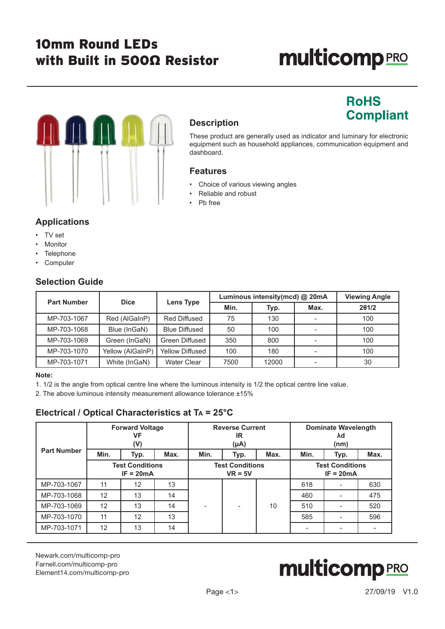# 10mm Round LEDs with Built in 500Ω Resistor

# **multicomp**PRO

**RoHS** 

**Compliant** 

# III I

# **Description**

These product are generally used as indicator and luminary for electronic equipment such as household appliances, communication equipment and dashboard.

### **Features**

- Choice of various viewing angles
- Reliable and robust
- Pb free

# **Applications**

- TV set
- **Monitor**
- **Telephone**
- Computer

# **Selection Guide**

| <b>Part Number</b> | <b>Dice</b>      |                        | Luminous intensity(mcd) @ 20mA | <b>Viewing Angle</b> |                          |       |
|--------------------|------------------|------------------------|--------------------------------|----------------------|--------------------------|-------|
|                    |                  | Lens Type              | Min.                           | Typ.                 | Max.                     | 201/2 |
| MP-703-1067        | Red (AlGaInP)    | <b>Red Diffused</b>    | 75                             | 130                  | $\overline{\phantom{a}}$ | 100   |
| MP-703-1068        | Blue (InGaN)     | <b>Blue Diffused</b>   | 50                             | 100                  | $\overline{\phantom{a}}$ | 100   |
| MP-703-1069        | Green (InGaN)    | Green Diffused         | 350                            | 800                  |                          | 100   |
| MP-703-1070        | Yellow (AlGaInP) | <b>Yellow Diffused</b> | 100                            | 180                  |                          | 100   |
| MP-703-1071        | White (InGaN)    | <b>Water Clear</b>     | 7500                           | 12000                |                          | 30    |

#### **Note:**

1. 1/2 is the angle from optical centre line where the luminous intensity is 1/2 the optical centre line value.

2. The above luminous intensity measurement allowance tolerance ±15%

# **Electrical / Optical Characteristics at Ta = 25°C**

|                                       | <b>Forward Voltage</b><br>VF<br>(V) |                                     | <b>Reverse Current</b><br>IR<br>$(\mu A)$ |      |                                       | <b>Dominate Wavelength</b><br>λd<br>(nm) |      |                          |      |
|---------------------------------------|-------------------------------------|-------------------------------------|-------------------------------------------|------|---------------------------------------|------------------------------------------|------|--------------------------|------|
| <b>Part Number</b>                    | Min.                                | Typ.                                | Max.                                      | Min. | Typ.                                  | Max.                                     | Min. | Typ.                     | Max. |
| <b>Test Conditions</b><br>$IF = 20mA$ |                                     | <b>Test Conditions</b><br>$VR = 5V$ |                                           |      | <b>Test Conditions</b><br>$IF = 20mA$ |                                          |      |                          |      |
| MP-703-1067                           | 11                                  | 12                                  | 13                                        |      |                                       |                                          | 618  |                          | 630  |
| MP-703-1068                           | 12                                  | 13                                  | 14                                        |      |                                       |                                          | 460  |                          | 475  |
| MP-703-1069                           | 12                                  | 13                                  | 14                                        |      |                                       | 10                                       | 510  |                          | 520  |
| MP-703-1070                           | 11                                  | 12                                  | 13                                        |      |                                       |                                          | 585  | $\overline{\phantom{0}}$ | 596  |
| MP-703-1071                           | 12                                  | 13                                  | 14                                        |      |                                       |                                          |      |                          |      |

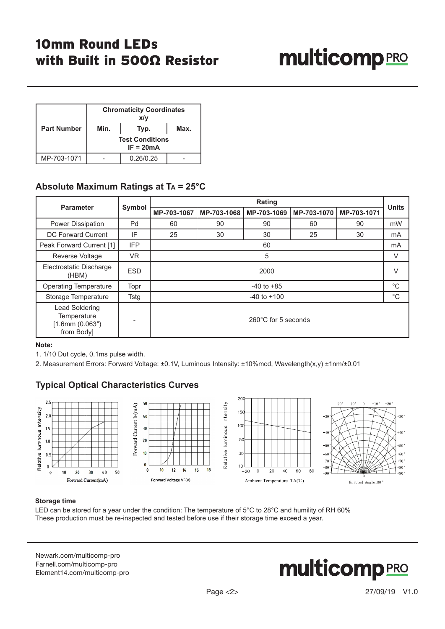# 10mm Round LEDs with Built in 500Ω Resistor

# **multicomp**PRO

|                    | <b>Chromaticity Coordinates</b><br>x/y |           |  |  |  |
|--------------------|----------------------------------------|-----------|--|--|--|
| <b>Part Number</b> | Min.                                   | Typ.      |  |  |  |
|                    | <b>Test Conditions</b><br>$IF = 20mA$  |           |  |  |  |
| MP-703-1071        |                                        | 0.26/0.25 |  |  |  |

## **Absolute Maximum Ratings at T<sup>a</sup> = 25°C**

| <b>Parameter</b>                                                    |            | Rating              |             |             |             |             | <b>Units</b> |
|---------------------------------------------------------------------|------------|---------------------|-------------|-------------|-------------|-------------|--------------|
|                                                                     | Symbol     | MP-703-1067         | MP-703-1068 | MP-703-1069 | MP-703-1070 | MP-703-1071 |              |
| Power Dissipation                                                   | Pd         | 60                  | 90          | 90          | 60          | 90          | mW           |
| <b>DC Forward Current</b>                                           | IF         | 25                  | 30          | 30          | 25          | 30          | mA           |
| Peak Forward Current [1]                                            | <b>IFP</b> |                     | 60          |             |             |             | mA           |
| Reverse Voltage                                                     | <b>VR</b>  |                     | 5           |             |             |             |              |
| Electrostatic Discharge<br>(HBM)                                    | <b>ESD</b> | 2000                |             |             |             |             | $\vee$       |
| <b>Operating Temperature</b>                                        | Topr       | $-40$ to $+85$      |             |             |             | $^{\circ}C$ |              |
| Storage Temperature                                                 | Tstg       | $-40$ to $+100$     |             |             |             | $^{\circ}C$ |              |
| Lead Soldering<br>Temperature<br>$[1.6$ mm $(0.063")$<br>from Body] |            | 260°C for 5 seconds |             |             |             |             |              |

#### **Note:**

1. 1/10 Dut cycle, 0.1ms pulse width.

2. Measurement Errors: Forward Voltage: ±0.1V, Luminous Intensity: ±10%mcd, Wavelength(x,y) ±1nm/±0.01

# **Typical Optical Characteristics Curves**



#### **Storage time**

LED can be stored for a year under the condition: The temperature of 5°C to 28°C and humility of RH 60% These production must be re-inspected and tested before use if their storage time exceed a year.

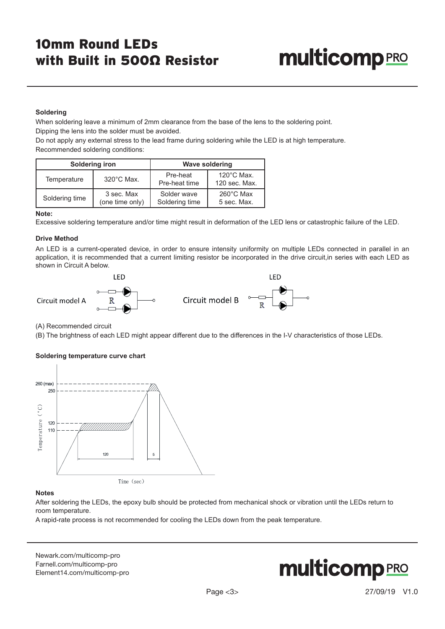# **multicomp** PRO

#### **Soldering**

When soldering leave a minimum of 2mm clearance from the base of the lens to the soldering point. Dipping the lens into the solder must be avoided.

Do not apply any external stress to the lead frame during soldering while the LED is at high temperature. Recommended soldering conditions:

|                      | Soldering iron  | <b>Wave soldering</b> |                      |  |
|----------------------|-----------------|-----------------------|----------------------|--|
| $320^{\circ}$ C Max. |                 | Pre-heat              | $120^{\circ}$ C Max. |  |
| Temperature          |                 | Pre-heat time         | 120 sec. Max.        |  |
| Soldering time       | 3 sec. Max      | Solder wave           | $260^{\circ}$ C Max  |  |
|                      | (one time only) | Soldering time        | 5 sec. Max.          |  |

#### **Note:**

Excessive soldering temperature and/or time might result in deformation of the LED lens or catastrophic failure of the LED.

#### **Drive Method**

An LED is a current-operated device, in order to ensure intensity uniformity on multiple LEDs connected in parallel in an application, it is recommended that a current limiting resistor be incorporated in the drive circuit,in series with each LED as shown in Circuit A below.



(A) Recommended circuit

(B) The brightness of each LED might appear different due to the differences in the I-V characteristics of those LEDs.

#### **Soldering temperature curve chart**



#### **Notes**

After soldering the LEDs, the epoxy bulb should be protected from mechanical shock or vibration until the LEDs return to room temperature.

A rapid-rate process is not recommended for cooling the LEDs down from the peak temperature.